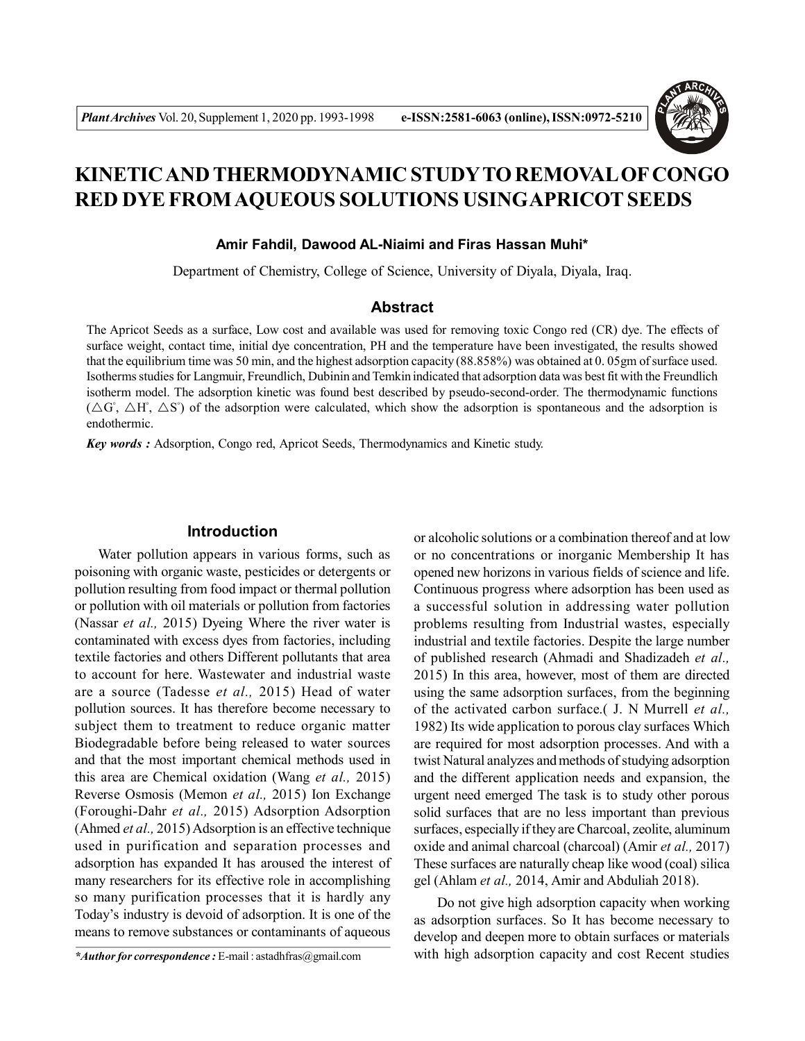

# **KINETIC AND THERMODYNAMIC STUDYTO REMOVAL OF CONGO RED DYE FROM AQUEOUS SOLUTIONS USINGAPRICOT SEEDS**

## **Amir Fahdil, Dawood AL-Niaimi and Firas Hassan Muhi\***

Department of Chemistry, College of Science, University of Diyala, Diyala, Iraq.

## **Abstract**

The Apricot Seeds as a surface, Low cost and available was used for removing toxic Congo red (CR) dye. The effects of surface weight, contact time, initial dye concentration, PH and the temperature have been investigated, the results showed that the equilibrium time was 50 min, and the highest adsorption capacity (88.858%) was obtained at 0. 05gm of surface used. Isotherms studies for Langmuir, Freundlich, Dubinin and Temkin indicated that adsorption data was best fit with the Freundlich isotherm model. The adsorption kinetic was found best described by pseudo-second-order. The thermodynamic functions  $(\triangle G^{\circ}, \triangle H^{\circ}, \triangle S^{\circ})$  of the adsorption were calculated, which show the adsorption is spontaneous and the adsorption is endothermic.

*Key words :* Adsorption, Congo red, Apricot Seeds, Thermodynamics and Kinetic study.

## **Introduction**

Water pollution appears in various forms, such as poisoning with organic waste, pesticides or detergents or pollution resulting from food impact or thermal pollution or pollution with oil materials or pollution from factories (Nassar *et al.,* 2015) Dyeing Where the river water is contaminated with excess dyes from factories, including textile factories and others Different pollutants that area to account for here. Wastewater and industrial waste are a source (Tadesse *et al.,* 2015) Head of water pollution sources. It has therefore become necessary to subject them to treatment to reduce organic matter Biodegradable before being released to water sources and that the most important chemical methods used in this area are Chemical oxidation (Wang *et al.,* 2015) Reverse Osmosis (Memon *et al.,* 2015) Ion Exchange (Foroughi-Dahr *et al.,* 2015) Adsorption Adsorption (Ahmed *et al.,* 2015) Adsorption is an effective technique used in purification and separation processes and adsorption has expanded It has aroused the interest of many researchers for its effective role in accomplishing so many purification processes that it is hardly any Today's industry is devoid of adsorption. It is one of the means to remove substances or contaminants of aqueous

*\*Author for correspondence :* E-mail : astadhfras@gmail.com

or alcoholic solutions or a combination thereof and at low or no concentrations or inorganic Membership It has opened new horizons in various fields of science and life. Continuous progress where adsorption has been used as a successful solution in addressing water pollution problems resulting from Industrial wastes, especially industrial and textile factories. Despite the large number of published research (Ahmadi and Shadizadeh *et al.,* 2015) In this area, however, most of them are directed using the same adsorption surfaces, from the beginning of the activated carbon surface.( J. N Murrell *et al.,* 1982) Its wide application to porous clay surfaces Which are required for most adsorption processes. And with a twist Natural analyzes and methods of studying adsorption and the different application needs and expansion, the urgent need emerged The task is to study other porous solid surfaces that are no less important than previous surfaces, especially if they are Charcoal, zeolite, aluminum oxide and animal charcoal (charcoal) (Amir *et al.,* 2017) These surfaces are naturally cheap like wood (coal) silica gel (Ahlam *et al.,* 2014, Amir and Abduliah 2018).

Do not give high adsorption capacity when working as adsorption surfaces. So It has become necessary to develop and deepen more to obtain surfaces or materials with high adsorption capacity and cost Recent studies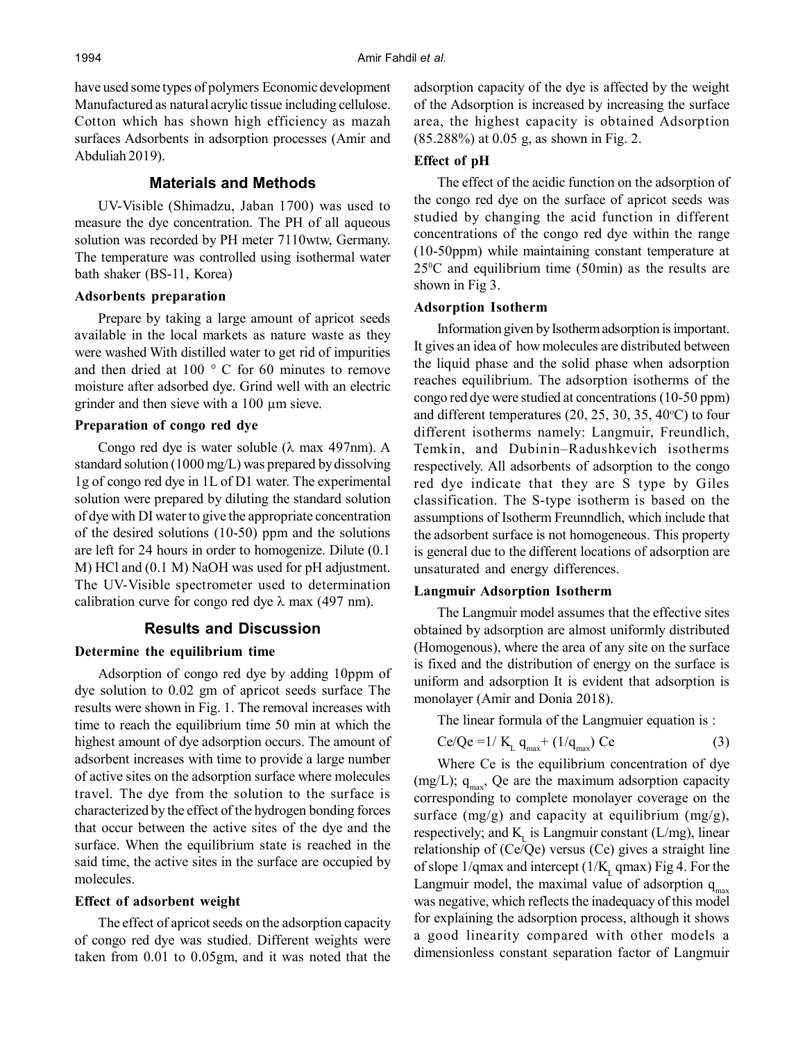have used some types of polymers Economic development Manufactured as natural acrylic tissue including cellulose. Cotton which has shown high efficiency as mazah surfaces Adsorbents in adsorption processes (Amir and Abduliah 2019).

## **Materials and Methods**

UV-Visible (Shimadzu, Jaban 1700) was used to measure the dye concentration. The PH of all aqueous solution was recorded by PH meter 7110wtw, Germany. The temperature was controlled using isothermal water bath shaker (BS-11, Korea)

## **Adsorbents preparation**

Prepare by taking a large amount of apricot seeds available in the local markets as nature waste as they were washed With distilled water to get rid of impurities and then dried at 100 ° C for 60 minutes to remove moisture after adsorbed dye. Grind well with an electric grinder and then sieve with a 100 µm sieve.

## **Preparation of congo red dye**

Congo red dye is water soluble  $(\lambda \text{ max } 497 \text{ nm})$ . A standard solution (1000 mg/L) was prepared by dissolving 1g of congo red dye in 1L of D1 water. The experimental solution were prepared by diluting the standard solution of dye with DI water to give the appropriate concentration of the desired solutions (10-50) ppm and the solutions are left for 24 hours in order to homogenize. Dilute (0.1 M) HCl and (0.1 M) NaOH was used for pH adjustment. The UV-Visible spectrometer used to determination calibration curve for congo red dye  $\lambda$  max (497 nm).

# **Results and Discussion**

## **Determine the equilibrium time**

Adsorption of congo red dye by adding 10ppm of dye solution to 0.02 gm of apricot seeds surface The results were shown in Fig. 1. The removal increases with time to reach the equilibrium time 50 min at which the highest amount of dye adsorption occurs. The amount of adsorbent increases with time to provide a large number of active sites on the adsorption surface where molecules travel. The dye from the solution to the surface is characterized by the effect of the hydrogen bonding forces that occur between the active sites of the dye and the surface. When the equilibrium state is reached in the said time, the active sites in the surface are occupied by molecules.

## **Effect of adsorbent weight**

The effect of apricot seeds on the adsorption capacity of congo red dye was studied. Different weights were taken from 0.01 to 0.05gm, and it was noted that the adsorption capacity of the dye is affected by the weight of the Adsorption is increased by increasing the surface area, the highest capacity is obtained Adsorption (85.288%) at 0.05 g, as shown in Fig. 2.

## **Effect of pH**

The effect of the acidic function on the adsorption of the congo red dye on the surface of apricot seeds was studied by changing the acid function in different concentrations of the congo red dye within the range (10-50ppm) while maintaining constant temperature at  $25^{\circ}$ C and equilibrium time (50min) as the results are shown in Fig 3.

#### **Adsorption Isotherm**

Information given by Isotherm adsorption is important. It gives an idea of how molecules are distributed between the liquid phase and the solid phase when adsorption reaches equilibrium. The adsorption isotherms of the congo red dye were studied at concentrations (10-50 ppm) and different temperatures  $(20, 25, 30, 35, 40^{\circ}C)$  to four different isotherms namely: Langmuir, Freundlich, Temkin, and Dubinin–Radushkevich isotherms respectively. All adsorbents of adsorption to the congo red dye indicate that they are S type by Giles classification. The S-type isotherm is based on the assumptions of Isotherm Freunndlich, which include that the adsorbent surface is not homogeneous. This property is general due to the different locations of adsorption are unsaturated and energy differences.

### **Langmuir Adsorption Isotherm**

The Langmuir model assumes that the effective sites obtained by adsorption are almost uniformly distributed (Homogenous), where the area of any site on the surface is fixed and the distribution of energy on the surface is uniform and adsorption It is evident that adsorption is monolayer (Amir and Donia 2018).

The linear formula of the Langmuier equation is :

$$
Ce/Qe = 1 / K_{L} q_{max} + (1/q_{max}) Ce
$$
 (3)

Where Ce is the equilibrium concentration of dye (mg/L);  $q_{max}$ , Qe are the maximum adsorption capacity corresponding to complete monolayer coverage on the surface  $(mg/g)$  and capacity at equilibrium  $(mg/g)$ , respectively; and  $K<sub>L</sub>$  is Langmuir constant (L/mg), linear relationship of (Ce/Qe) versus (Ce) gives a straight line of slope  $1/q$ max and intercept ( $1/K$ <sub>L</sub> qmax) Fig 4. For the Langmuir model, the maximal value of adsorption  $q_{\text{max}}$ was negative, which reflects the inadequacy of this model for explaining the adsorption process, although it shows a good linearity compared with other models a dimensionless constant separation factor of Langmuir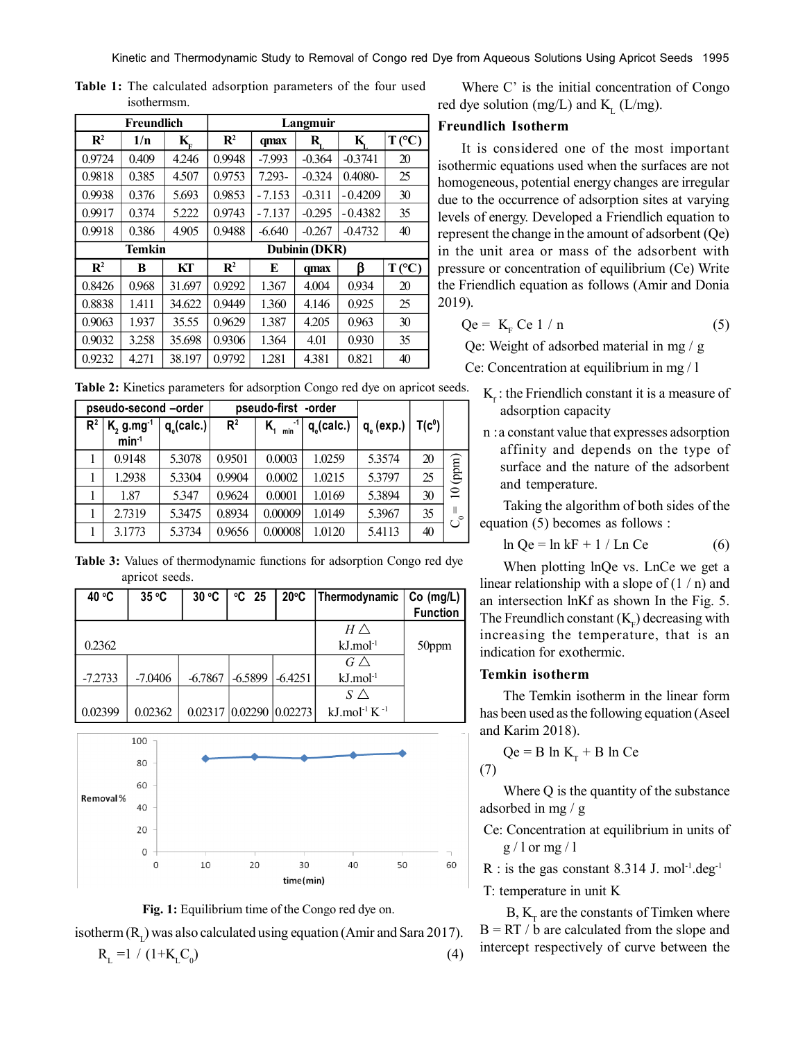| Freundlich     |       |        | Langmuir       |          |          |           |                  |  |
|----------------|-------|--------|----------------|----------|----------|-----------|------------------|--|
| $\mathbf{R}^2$ | 1/n   | K,     | $\mathbf{R}^2$ | qmax     | R.       | K,        | T(C)             |  |
| 0.9724         | 0.409 | 4.246  | 0.9948         | $-7.993$ | $-0.364$ | $-0.3741$ | 20               |  |
| 0.9818         | 0.385 | 4.507  | 0.9753         | 7.293-   | $-0.324$ | 0.4080-   | 25               |  |
| 0.9938         | 0.376 | 5.693  | 0.9853         | $-7.153$ | $-0.311$ | $-0.4209$ | 30               |  |
| 0.9917         | 0.374 | 5.222  | 0.9743         | $-7.137$ | $-0.295$ | $-0.4382$ | 35               |  |
| 0.9918         | 0.386 | 4.905  | 0.9488         | $-6.640$ | $-0.267$ | $-0.4732$ | 40               |  |
| <b>Temkin</b>  |       |        | Dubinin (DKR)  |          |          |           |                  |  |
| $\mathbf{R}^2$ | B     | KТ     | $\mathbf{R}^2$ | E        | qmax     | ß         | $T({}^{\circ}C)$ |  |
| 0.8426         | 0.968 | 31.697 | 0.9292         | 1.367    | 4.004    | 0.934     | 20               |  |
| 0.8838         | 1.411 | 34.622 | 0.9449         | 1.360    | 4.146    | 0.925     | 25               |  |
| 0.9063         | 1.937 | 35.55  | 0.9629         | 1.387    | 4.205    | 0.963     | 30               |  |
| 0.9032         | 3.258 | 35.698 | 0.9306         | 1.364    | 4.01     | 0.930     | 35               |  |
|                |       |        |                |          |          |           |                  |  |

**Table 1:** The calculated adsorption parameters of the four used isothermsm.

**Table 2:** Kinetics parameters for adsorption Congo red dye on apricot seeds.

| pseudo-second -order |                                                |               | pseudo-first -order |           |               |                    |          |                         |
|----------------------|------------------------------------------------|---------------|---------------------|-----------|---------------|--------------------|----------|-------------------------|
| $R^2$                | $K$ <sub>2</sub> g.mg <sup>-1</sup><br>$min-1$ | $q_c$ (calc.) | R <sup>2</sup>      | -1<br>min | $q_c$ (calc.) | $q_{\circ}$ (exp.) | $T(c^0)$ |                         |
|                      | 0.9148                                         | 5.3078        | 0.9501              | 0.0003    | 1.0259        | 5.3574             | 20       | (ppm)                   |
|                      | 1.2938                                         | 5.3304        | 0.9904              | 0.0002    | 1.0215        | 5.3797             | 25       |                         |
|                      | 1.87                                           | 5.347         | 0.9624              | 0.0001    | 1.0169        | 5.3894             | 30       | $\overline{10}$         |
|                      | 2.7319                                         | 5.3475        | 0.8934              | 0.00009   | 1.0149        | 5.3967             | 35       | $\mathbf{H}$<br>$\circ$ |
|                      | 3.1773                                         | 5.3734        | 0.9656              | 0.00008   | 1.0120        | 5.4113             | 40       | Ö                       |

**Table 3:** Values of thermodynamic functions for adsorption Congo red dye apricot seeds.

| 40 °C     | 35 °C     | 30 °C     | $°C$ 25                   | $20^{\circ}$ C | Thermodynamic                        | $Co$ (mg/L)     |
|-----------|-----------|-----------|---------------------------|----------------|--------------------------------------|-----------------|
|           |           |           |                           |                |                                      | <b>Function</b> |
|           |           |           |                           |                | $H \triangle$                        |                 |
| 0.2362    |           |           |                           |                | $kJ$ .mol $^{-1}$                    | 50ppm           |
|           |           |           |                           |                | $G \triangle$                        |                 |
| $-7.2733$ | $-7.0406$ | $-6.7867$ | $-6.5899$                 | $-6.4251$      | $kJ$ .mol $^{-1}$                    |                 |
|           |           |           |                           |                | $S \wedge$                           |                 |
| 0.02399   | 0.02362   |           | $0.02317$ 0.02290 0.02273 |                | kJ.mol <sup>-1</sup> K <sup>-1</sup> |                 |





isotherm  $(R<sub>L</sub>)$  was also calculated using equation (Amir and Sara 2017).

$$
R_{L} = 1 / (1 + K_{L}C_{0})
$$
 (4)

Where C' is the initial concentration of Congo red dye solution (mg/L) and  $K_L$  (L/mg).

## **Freundlich Isotherm**

It is considered one of the most important isothermic equations used when the surfaces are not homogeneous, potential energy changes are irregular due to the occurrence of adsorption sites at varying levels of energy. Developed a Friendlich equation to represent the change in the amount of adsorbent (Qe) in the unit area or mass of the adsorbent with pressure or concentration of equilibrium (Ce) Write the Friendlich equation as follows (Amir and Donia 2019).

$$
Qe = KF Ce 1/n
$$
 (5)

Qe: Weight of adsorbed material in mg / g

Ce: Concentration at equilibrium in mg / l

- $K_f$ : the Friendlich constant it is a measure of adsorption capacity
- n :a constant value that expresses adsorption affinity and depends on the type of surface and the nature of the adsorbent and temperature.

Taking the algorithm of both sides of the equation (5) becomes as follows :

$$
\ln Qe = \ln kF + 1 / \ln Ce \tag{6}
$$

When plotting lnQe vs. LnCe we get a linear relationship with a slope of  $(1/n)$  and an intersection lnKf as shown In the Fig. 5. The Freundlich constant  $(K_F)$  decreasing with increasing the temperature, that is an indication for exothermic.

# **Temkin isotherm**

The Temkin isotherm in the linear form has been used as the following equation (Aseel and Karim 2018).

$$
Qe = B \ln K_{T} + B \ln Ce
$$

$$
(\mathbf{7})
$$

Where Q is the quantity of the substance adsorbed in mg / g

 Ce: Concentration at equilibrium in units of  $g / 1$  or mg  $/ 1$ 

R : is the gas constant 8.314 J. mol<sup>-1</sup>.deg<sup>-1</sup>

T: temperature in unit K

 $B, K<sub>T</sub>$  are the constants of Timken where  $B = RT / b$  are calculated from the slope and intercept respectively of curve between the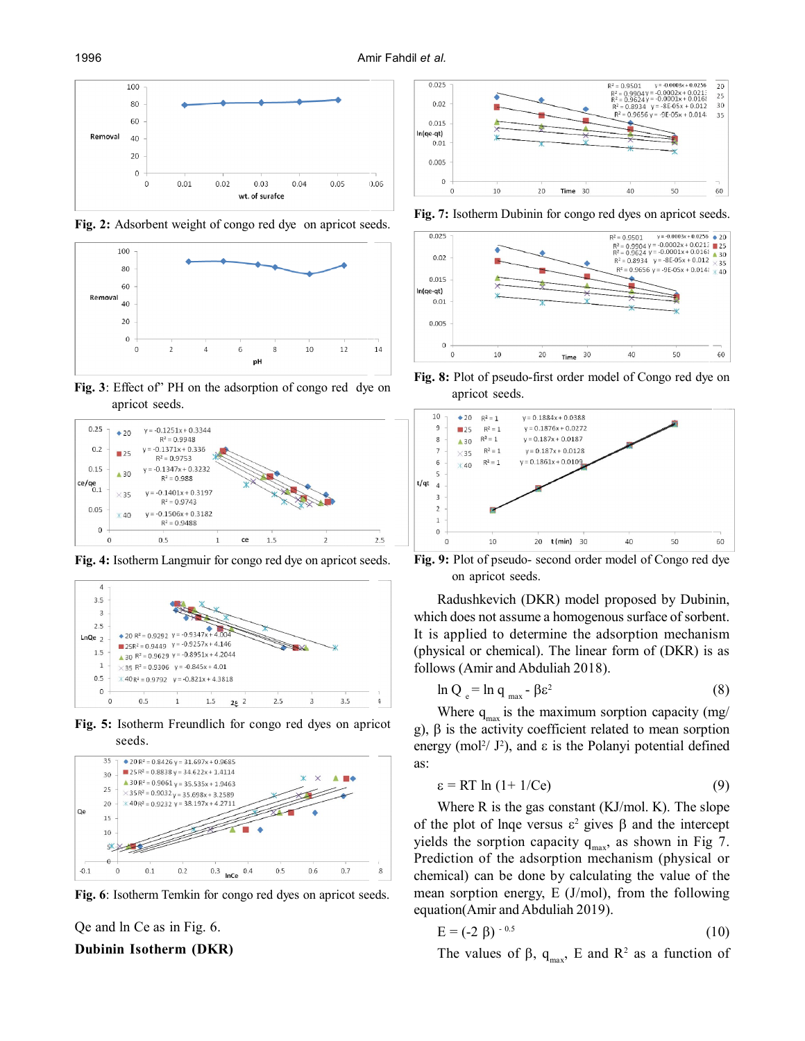

**Fig. 2:** Adsorbent weight of congo red dye on apricot seeds.



**Fig. 3**: Effect of" PH on the adsorption of congo red dye on apricot seeds.



**Fig. 4:** Isotherm Langmuir for congo red dye on apricot seeds.



**Fig. 5:** Isotherm Freundlich for congo red dyes on apricot seeds.



**Fig. 6**: Isotherm Temkin for congo red dyes on apricot seeds.

Qe and ln Ce as in Fig. 6. **Dubinin Isotherm (DKR)**



**Fig. 7:** Isotherm Dubinin for congo red dyes on apricot seeds.



**Fig. 8:** Plot of pseudo-first order model of Congo red dye on apricot seeds.



**Fig. 9:** Plot of pseudo- second order model of Congo red dye on apricot seeds.

Radushkevich (DKR) model proposed by Dubinin, which does not assume a homogenous surface of sorbent. It is applied to determine the adsorption mechanism (physical or chemical). The linear form of (DKR) is as follows (Amir and Abduliah 2018).

$$
\ln Q_e = \ln q_{max} - \beta \varepsilon^2 \tag{8}
$$

Where  $q_{max}$  is the maximum sorption capacity (mg/ g),  $\beta$  is the activity coefficient related to mean sorption energy (mol<sup>2</sup>/  $J^2$ ), and  $\varepsilon$  is the Polanyi potential defined as:

$$
\varepsilon = RT \ln (1 + 1/Ce) \tag{9}
$$

Where R is the gas constant (KJ/mol. K). The slope of the plot of lnqe versus  $\varepsilon^2$  gives  $\beta$  and the intercept yields the sorption capacity  $q_{max}$ , as shown in Fig 7. Prediction of the adsorption mechanism (physical or chemical) can be done by calculating the value of the mean sorption energy, E (J/mol), from the following equation(Amir and Abduliah 2019).

$$
E = (-2 \beta)^{-0.5} \tag{10}
$$

The values of  $\beta$ ,  $q_{max}$ , E and  $R^2$  as a function of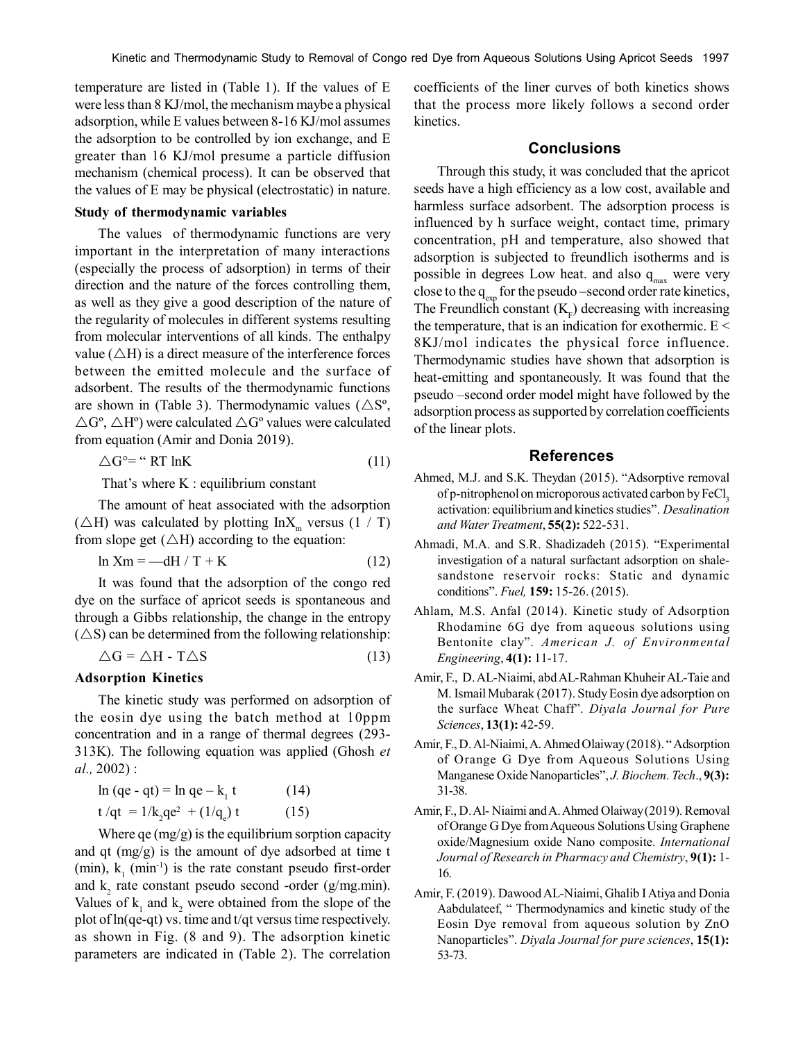temperature are listed in (Table 1). If the values of E were less than 8 KJ/mol, the mechanism maybe a physical adsorption, while E values between 8-16 KJ/mol assumes the adsorption to be controlled by ion exchange, and E greater than 16 KJ/mol presume a particle diffusion mechanism (chemical process). It can be observed that the values of E may be physical (electrostatic) in nature.

## **Study of thermodynamic variables**

The values of thermodynamic functions are very important in the interpretation of many interactions (especially the process of adsorption) in terms of their direction and the nature of the forces controlling them, as well as they give a good description of the nature of the regularity of molecules in different systems resulting from molecular interventions of all kinds. The enthalpy value ( $\triangle H$ ) is a direct measure of the interference forces between the emitted molecule and the surface of adsorbent. The results of the thermodynamic functions are shown in (Table 3). Thermodynamic values ( $\triangle S^{\circ}$ ,  $\Delta G^{\circ}$ ,  $\Delta H^{\circ}$ ) were calculated  $\Delta G^{\circ}$  values were calculated from equation (Amir and Donia 2019).

$$
\triangle G^{\circ} = \text{``RT lnK} \tag{11}
$$

That's where K : equilibrium constant

The amount of heat associated with the adsorption ( $\triangle H$ ) was calculated by plotting InX<sub>m</sub> versus (1 / T) from slope get  $(\triangle H)$  according to the equation:

$$
\ln \text{Xm} = -\text{dH} / \text{T} + \text{K} \tag{12}
$$

It was found that the adsorption of the congo red dye on the surface of apricot seeds is spontaneous and through a Gibbs relationship, the change in the entropy  $(\triangle S)$  can be determined from the following relationship:

$$
\Delta G = \Delta H - T \Delta S \tag{13}
$$

## **Adsorption Kinetics**

The kinetic study was performed on adsorption of the eosin dye using the batch method at 10ppm concentration and in a range of thermal degrees (293- 313K). The following equation was applied (Ghosh *et al.,* 2002) :

$$
\ln (qe - qt) = \ln qe - k_1 t \qquad (14)
$$
  
t/qt = 1/k<sub>2</sub>qe<sup>2</sup> + (1/q<sub>e</sub>) t \qquad (15)

Where  $qe \, (mg/g)$  is the equilibrium sorption capacity and qt (mg/g) is the amount of dye adsorbed at time t (min),  $k_1$  (min<sup>-1</sup>) is the rate constant pseudo first-order and  $k_2$  rate constant pseudo second -order (g/mg.min). Values of  $k_1$  and  $k_2$  were obtained from the slope of the plot of ln(qe-qt) vs. time and t/qt versus time respectively. as shown in Fig. (8 and 9). The adsorption kinetic parameters are indicated in (Table 2). The correlation

coefficients of the liner curves of both kinetics shows that the process more likely follows a second order kinetics.

## **Conclusions**

Through this study, it was concluded that the apricot seeds have a high efficiency as a low cost, available and harmless surface adsorbent. The adsorption process is influenced by h surface weight, contact time, primary concentration, pH and temperature, also showed that adsorption is subjected to freundlich isotherms and is possible in degrees Low heat. and also  $q_{\text{max}}$  were very close to the  $q_{exp}$  for the pseudo –second order rate kinetics, The Freundlich constant  $(K_F)$  decreasing with increasing the temperature, that is an indication for exothermic.  $E <$ 8KJ/mol indicates the physical force influence. Thermodynamic studies have shown that adsorption is heat-emitting and spontaneously. It was found that the pseudo –second order model might have followed by the adsorption process as supported by correlation coefficients of the linear plots.

## **References**

- Ahmed, M.J. and S.K. Theydan (2015). "Adsorptive removal of p-nitrophenol on microporous activated carbon by FeCl. activation: equilibrium and kinetics studies". *Desalination and Water Treatment*, **55(2):** 522-531.
- Ahmadi, M.A. and S.R. Shadizadeh (2015). "Experimental investigation of a natural surfactant adsorption on shalesandstone reservoir rocks: Static and dynamic conditions". *Fuel,* **159:** 15-26. (2015).
- Ahlam, M.S. Anfal (2014). Kinetic study of Adsorption Rhodamine 6G dye from aqueous solutions using Bentonite clay". *American J. of Environmental Engineering*, **4(1):** 11-17.
- Amir, F., D. AL-Niaimi, abd AL-Rahman Khuheir AL-Taie and M. Ismail Mubarak (2017). Study Eosin dye adsorption on the surface Wheat Chaff". *Diyala Journal for Pure Sciences*, **13(1):** 42-59.
- Amir, F., D. Al-Niaimi, A. Ahmed Olaiway (2018). " Adsorption of Orange G Dye from Aqueous Solutions Using Manganese Oxide Nanoparticles", *J. Biochem. Tech*., **9(3):** 31-38.
- Amir, F., D. Al- Niaimi and A. Ahmed Olaiway (2019). Removal of Orange G Dye from Aqueous Solutions Using Graphene oxide/Magnesium oxide Nano composite. *International Journal of Research in Pharmacy and Chemistry*, **9(1):** 1- 16.
- Amir, F. (2019). Dawood AL-Niaimi, Ghalib I Atiya and Donia Aabdulateef, " Thermodynamics and kinetic study of the Eosin Dye removal from aqueous solution by ZnO Nanoparticles". *Diyala Journal for pure sciences*, **15(1):** 53-73.